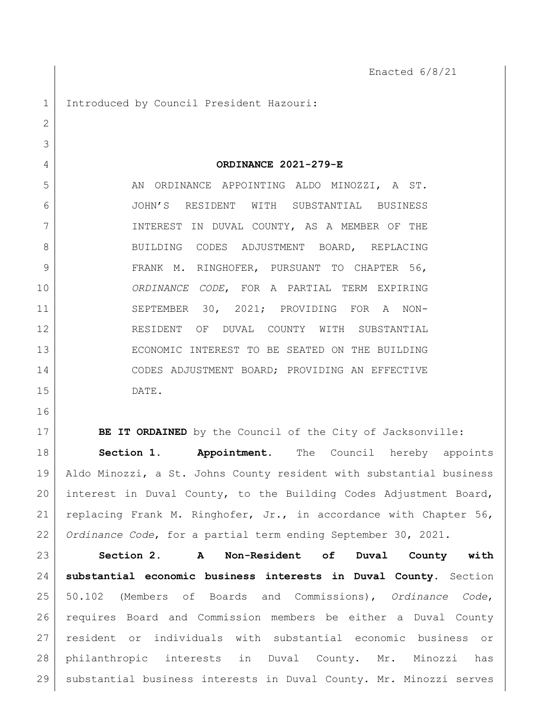1 Introduced by Council President Hazouri: **ORDINANCE 2021-279-E** 5 AN ORDINANCE APPOINTING ALDO MINOZZI, A ST. JOHN'S RESIDENT WITH SUBSTANTIAL BUSINESS INTEREST IN DUVAL COUNTY, AS A MEMBER OF THE 8 BUILDING CODES ADJUSTMENT BOARD, REPLACING 9 FRANK M. RINGHOFER, PURSUANT TO CHAPTER 56, *ORDINANCE CODE*, FOR A PARTIAL TERM EXPIRING SEPTEMBER 30, 2021; PROVIDING FOR A NON- RESIDENT OF DUVAL COUNTY WITH SUBSTANTIAL ECONOMIC INTEREST TO BE SEATED ON THE BUILDING CODES ADJUSTMENT BOARD; PROVIDING AN EFFECTIVE DATE.

**BE IT ORDAINED** by the Council of the City of Jacksonville: **Section 1. Appointment.** The Council hereby appoints Aldo Minozzi, a St. Johns County resident with substantial business interest in Duval County, to the Building Codes Adjustment Board, replacing Frank M. Ringhofer, Jr., in accordance with Chapter 56, *Ordinance Code*, for a partial term ending September 30, 2021.

 **Section 2. A Non-Resident of Duval County with substantial economic business interests in Duval County.** Section 50.102 (Members of Boards and Commissions), *Ordinance Code*, requires Board and Commission members be either a Duval County resident or individuals with substantial economic business or philanthropic interests in Duval County. Mr. Minozzi has substantial business interests in Duval County. Mr. Minozzi serves